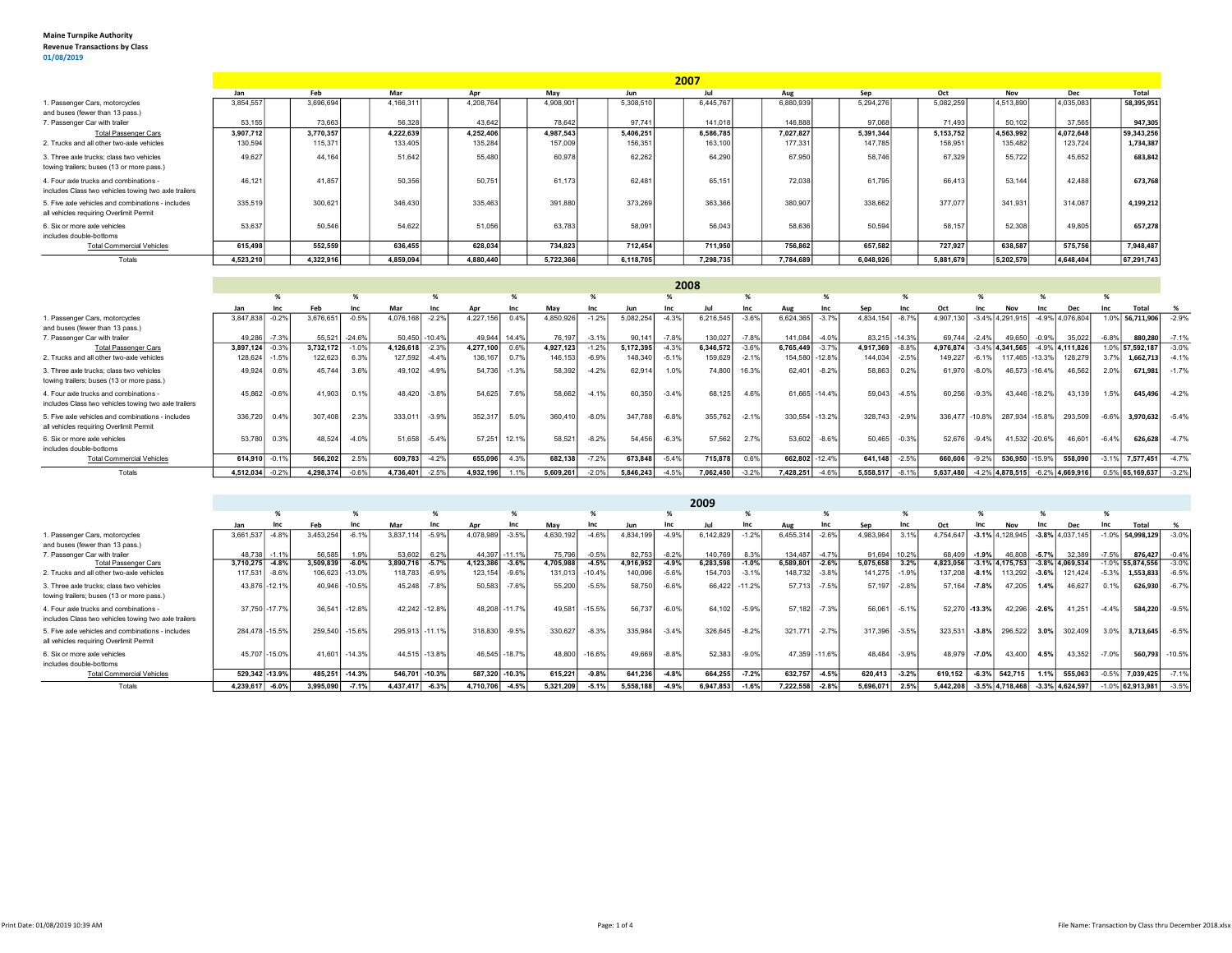|                                                                                                |           |           |           |           |           |           | 2007      |           |           |             |           |           |            |
|------------------------------------------------------------------------------------------------|-----------|-----------|-----------|-----------|-----------|-----------|-----------|-----------|-----------|-------------|-----------|-----------|------------|
|                                                                                                | Jan       | Feb       | Mar       | Apr       | May       | Jun       | Jul       | Aug       | Sep       | Oct         | Nov       | Dec       | Total      |
| 1. Passenger Cars, motorcycles                                                                 | 3,854,557 | 3,696,694 | 4,166,311 | 4,208,764 | 4,908,901 | 5,308,510 | 6,445,767 | 6,880,939 | 5,294,276 | 5,082,259   | 4,513,890 | 4,035,083 | 58,395,951 |
| and buses (fewer than 13 pass.)                                                                |           |           |           |           |           |           |           |           |           |             |           |           |            |
| 7. Passenger Car with trailer                                                                  | 53,155    | 73.663    | 56,328    | 43,642    | 78.642    | 97.741    | 141.018   | 146,888   | 97,068    | 71,493      | 50,102    | 37,565    | 947,305    |
| <b>Total Passenger Cars</b>                                                                    | 3,907,712 | 3,770,357 | 4,222,639 | 4,252,406 | 4.987.543 | 5.406.251 | 6,586,785 | 7.027.827 | 5,391,344 | 5, 153, 752 | 4,563,992 | 4.072.648 | 59,343,256 |
| 2. Trucks and all other two-axle vehicles                                                      | 130,594   | 115,371   | 133,405   | 135,284   | 157,009   | 156,351   | 163,100   | 177,331   | 147,785   | 158,951     | 135,482   | 123.724   | 1,734,387  |
| 3. Three axle trucks; class two vehicles<br>towing trailers; buses (13 or more pass.)          | 49.627    | 44.164    | 51.642    | 55,480    | 60.978    | 62.262    | 64.290    | 67,950    | 58.746    | 67.329      | 55,722    | 45.652    | 683,842    |
| 4. Four axle trucks and combinations -<br>includes Class two vehicles towing two axle trailers | 46.121    | 41.857    | 50.356    | 50,751    | 61.173    | 62.481    | 65.151    | 72.038    | 61,795    | 66,413      | 53.144    | 42.488    | 673,768    |
| 5. Five axle vehicles and combinations - includes<br>all vehicles requiring Overlimit Permit   | 335,519   | 300.621   | 346,430   | 335.463   | 391,880   | 373,269   | 363.366   | 380,907   | 338,662   | 377,077     | 341,931   | 314.087   | 4,199,212  |
| 6. Six or more axle vehicles<br>includes double-bottoms                                        | 53.63     | 50.546    | 54,622    | 51.056    | 63,783    | 58.091    | 56.043    | 58,636    | 50,594    | 58,157      | 52,308    | 49.805    | 657,278    |
| <b>Total Commercial Vehicles</b>                                                               | 615,498   | 552,559   | 636,455   | 628,034   | 734,823   | 712.454   | 711,950   | 756.862   | 657,582   | 727,927     | 638,587   | 575.756   | 7,948,487  |
| Totals                                                                                         | 4,523,210 | 4,322,916 | 4,859,094 | 4,880,440 | 5,722,366 | 6,118,705 | 7,298,735 | 7,784,689 | 6,048,926 | 5,881,679   | 5,202,579 | 4,648,404 | 67,291,743 |

|                                                      |           |             |           |               |           |               |           |              |           |         |           |         | 2008      |         |                |                |           |               |           |          |                                    |         |                 |            |                    |         |
|------------------------------------------------------|-----------|-------------|-----------|---------------|-----------|---------------|-----------|--------------|-----------|---------|-----------|---------|-----------|---------|----------------|----------------|-----------|---------------|-----------|----------|------------------------------------|---------|-----------------|------------|--------------------|---------|
|                                                      |           |             |           |               |           |               |           |              |           |         |           |         |           |         |                |                |           |               |           |          |                                    |         |                 |            |                    |         |
|                                                      | Jan       | <b>Inc.</b> | Feb       | Inc           | Mar       | Inc           | Apr       | Inc          | Mav       |         | Jun.      |         |           | Inc     | Aug            | Inc            | Sep       |               | Oct       |          | Nov                                |         |                 | <b>Inc</b> | Total              |         |
| 1. Passenger Cars, motorcycles                       | 3.847.838 | $-0.2%$     | 3,676,651 | $-0.5%$       | 4,076,168 | $-2.2%$       | 4.227.156 | 0.4%         | 4,850,926 | $-1.2%$ | 5,082,254 | $-4.3%$ | 6,216,545 | $-3.6%$ | 6,624,365      | $-3.7%$        | 4.834.154 | $-8.7%$       | 1.907.13  |          | $-3.4\%$ 4.291.915                 |         | -4.9% 4.076.80  |            | 1.0% 56.711.906    | $-2.9%$ |
| and buses (fewer than 13 pass.)                      |           |             |           |               |           |               |           |              |           |         |           |         |           |         |                |                |           |               |           |          |                                    |         |                 |            |                    |         |
| . Passenger Car with trailer                         | 49.286    | $-7.3%$     |           | 55.521 -24.6% |           | 50.450 -10.4% |           | 49.944 14.4% | 76.197    | $-3.1%$ | 90,141    | $-7.8%$ | 130.027   | $-7.8%$ | 141.084        | $-4.0%$        |           | 83,215 -14.3% | 69.744    | $-2.4%$  | 49,650                             | $-0.9%$ | 35,022          | $-6.8%$    | 880,280            | $-7.1%$ |
| <b>Total Passenger Cars</b>                          | 3,897,124 | $-0.39$     | 3,732,172 | $-1.0%$       | 4,126,618 | $-2.3%$       | 4,277,100 | 0.6%         | 4,927,123 | $-1.2%$ | 5,172,395 | $-4.3%$ | 6,346,572 | $-3.6%$ | 6.765.449      | $-3.7%$        | 4,917,369 | $-8.8%$       | 4,976,874 |          | $-3.4\%$ 4,341,565                 |         | -4.9% 4,111,826 |            | 1.0% 57,592,187    | $-3.0%$ |
| 2. Trucks and all other two-axle vehicles            | 128,624   | $-1.5%$     | 122,623   | 6.3%          | 127,592   | $-4.4%$       | 136,167   | 0.7%         | 146,153   | $-6.9%$ | 148,340   | $-5.1%$ | 159,629   | $-2.1%$ | 154,580 -12.8% |                | 144,034   | $-2.5%$       | 149,227   | $-6.1\%$ | 117,465 -13.3%                     |         | 128,279         | 3.7%       | 1,662,713          | $-4.1%$ |
| 3. Three axle trucks: class two vehicles             | 49.924    | 0.6%        | 45.744    | 3.6%          | 49.102    | $-4.9%$       | 54.736    | $-1.3%$      | 58.392    | $-4.2%$ | 62.914    | 1.0%    | 74.800    | 16.3%   | 62.401         | $-8.2%$        | 58.863    | 0.2%          | 61.970    | $-8.0%$  | 46,573 -16.4%                      |         | 46,562          | 2.0%       | 671,981            | $-1.7%$ |
| towing trailers; buses (13 or more pass.)            |           |             |           |               |           |               |           |              |           |         |           |         |           |         |                |                |           |               |           |          |                                    |         |                 |            |                    |         |
| 4. Four axle trucks and combinations -               | 45.862    | $-0.6%$     | 41.90     | 0.1%          | 48.420    | $-3.8%$       | 54.625    | 7.6%         | 58,662    | $-4.1%$ | 60,350    | $-3.4%$ | 68,125    | 4.6%    |                | 61,665 - 14.4% | 59,043    | $-4.5%$       | 60,256    | $-9.3%$  | 43,446 -18.2%                      |         | 43.139          | 1.5%       | 645.496            | $-4.2%$ |
| includes Class two vehicles towing two axle trailers |           |             |           |               |           |               |           |              |           |         |           |         |           |         |                |                |           |               |           |          |                                    |         |                 |            |                    |         |
| 5. Five axle vehicles and combinations - includes    | 336,720   | 0.4%        | 307,408   | 2.3%          | 333.01    | $-3.9%$       | 352,317   | 5.0%         | 360,410   | $-8.0%$ | 347.788   | $-6.8%$ | 355.762   | $-2.1%$ | 330.554 -13.2% |                | 328,743   | $-2.9%$       | 336.477   | $-10.8%$ | 287,934 -15.8%                     |         | 293,509         | $-6.6%$    | 3,970,632          | $-5.4%$ |
| all vehicles requiring Overlimit Permit              |           |             |           |               |           |               |           |              |           |         |           |         |           |         |                |                |           |               |           |          |                                    |         |                 |            |                    |         |
| 6. Six or more axle vehicles                         | 53,780    | 0.3%        | 48.524    | $-4.0%$       | 51.658    | $-5.4%$       | 57.251    | 12.1%        | 58.521    | $-8.2%$ | 54.456    | $-6.3%$ | 57.562    | 2.7%    | 53.602         | $-8.6%$        | 50.465    | $-0.3%$       | 52.67     | $-9.4%$  | 41,532 -20.6%                      |         | 46.601          | $-6.4%$    | 626.628            | $-4.7%$ |
| includes double-bottoms                              |           |             |           |               |           |               |           |              |           |         |           |         |           |         |                |                |           |               |           |          |                                    |         |                 |            |                    |         |
| <b>Total Commercial Vehicles</b>                     | 614,910   | $-0.1%$     | 566,202   | 2.5%          | 609,783   | $-4.2%$       | 655,096   | 4.3%         | 682,138   | $-7.2%$ | 673,848   | $-5.4%$ | 715,878   | 0.6%    | 662.802 -12.4% |                | 641,148   | $-2.5%$       | 660,606   | $-9.2%$  | 536,950 -15.9%                     |         | 558,090         | $-3.1%$    | 7,577,451          | $-4.7%$ |
| Totals                                               | 4,512,034 | $-0.2%$     | 4,298,374 | $-0.6%$       | 4,736,401 | $-2.5%$       | 4,932,196 | 1.1%         | 5,609,261 | $-2.0%$ | 5,846,243 | $-4.5%$ | 7,062,450 | $-3.2%$ | 7,428,251      | $-4.6%$        | 5,558,517 | $-8.1%$       | 5,637,480 |          | $-4.2\%$ 4,878,515 -6.2% 4,669,916 |         |                 |            | $0.5\%$ 65,169,637 | $-3.2%$ |

|                                                      |                |               |           |          |                |               |           |               |           |          |           |         | 2009      |          |           |               |           |         |           |          |                                       |            |                    |         |                     |                |
|------------------------------------------------------|----------------|---------------|-----------|----------|----------------|---------------|-----------|---------------|-----------|----------|-----------|---------|-----------|----------|-----------|---------------|-----------|---------|-----------|----------|---------------------------------------|------------|--------------------|---------|---------------------|----------------|
|                                                      |                |               |           |          |                |               |           |               |           |          |           |         |           |          |           |               |           |         |           |          |                                       |            |                    |         |                     |                |
|                                                      | Jan            | Inc           | Feb       | Inc      | Mar            | Inc           |           | Inc           | Mav       | Inc      | Jun       | Inc     | Jul       |          | Aug       | Inc           | Sep       | Inc     | Oct       | Inc      | Nov                                   | <b>Inc</b> | Dec                |         | Total               |                |
| . Passenger Cars, motorcycles                        | 3,661,537      | $-4.8%$       | 3,453,25  |          | 3,837,114      | $-5.9%$       | 4,078,989 | $-3.5%$       | 4,630,192 | $-4.6%$  | 4,834,199 | $-4.9%$ | 6,142,829 | $-1.2%$  | 6,455,31/ | $-2.6%$       | 4,983,964 | 3.1%    | 4.754.647 |          | $-3.1\%$ 4.128.945                    |            | $-3.8\%$ 4,037,145 | $-1.0%$ | 54,998,129          | $-3.0%$        |
| and buses (fewer than 13 pass.)                      |                |               |           |          |                |               |           |               |           |          |           |         |           |          |           |               |           |         |           |          |                                       |            |                    |         |                     |                |
| 7. Passenger Car with trailer                        | 48.738         | $-1.1%$       | 56,585    | 1.9%     | 53,602         | 6.2%          |           | 44.397 -11.1% | 75.796    | $-0.5%$  | 82,753    | $-8.2%$ | 140,769   | 8.3%     | 134,487   | $-4.7%$       | 91,694    | 10.2%   | 68,409    | $-1.9%$  | 46,808                                | $-5.7%$    | 32,389             | $-7.5%$ | 876,427             | $-0.4\%$ i     |
| <b>Total Passenger Cars</b>                          | 3,710,275      | $-4.8%$       | 3,509,839 | $-6.0%$  | 3,890,716      | $-5.7%$       | 4,123,386 | $-3.6%$       | 4,705,988 | $-4.5%$  | 4,916,952 | $-4.9%$ | 6,283,598 | $-1.0%$  | 6,589,801 | $-2.6%$       | 5,075,658 | 3.2%    | 4,823,056 |          | $-3.1\%$ 4.175.753 $-3.8\%$ 4.069.534 |            |                    |         | $-1.0\%$ 55,874,556 | $-3.0%$        |
| 2. Trucks and all other two-axle vehicles            | 117,531        | $-8.6%$       | 106.623   | $-13.0%$ | 118,78         | $-6.9%$       | 123.154   | $-9.6%$       | 131,013   | $-10.4%$ | 140,096   | $-5.6%$ | 154.703   | $-3.1%$  | 148,732   | $-3.8%$       | 141,275   | $-1.9%$ | 137.208   | $-8.1%$  | 113,292                               | $-3.6\%$   | 121,424            | $-5.3%$ | 1,553,833           | $-6.5%$        |
| 3. Three axle trucks: class two vehicles             |                | 43.876 -12.1% | 40.946    | $-10.5%$ | 45.248         | 7.8%          | 50.583    | $-7.6%$       | 55,200    | $-5.5%$  | 58.750    | $-6.6%$ | 66.422    | $-11.2%$ | 57.713    | $-7.5%$       | 57,197    | $-2.8%$ | 57,164    | $-7.8%$  | 47,205                                | 1.4%       | 46,627             | 0.1%    | 626,930             | $-6.7%$        |
| towing trailers; buses (13 or more pass.)            |                |               |           |          |                |               |           |               |           |          |           |         |           |          |           |               |           |         |           |          |                                       |            |                    |         |                     |                |
| 4. Four axle trucks and combinations -               |                | 37.750 -17.7% | 36.54     | $-12.89$ |                | 42.242 -12.8% | 48.208    | $-11.7%$      | 49.58     | $-15.5%$ | 56.737    | $-6.0%$ | 64.102    | $-5.9%$  | 57,182    | $-7.3%$       | 56,061    | $-5.1%$ | 52.270    | $-13.3%$ | 42,296                                | $-2.6%$    | 41.251             | $-4.4%$ | 584.220             | $-9.5%$        |
| includes Class two vehicles towing two axle trailers |                |               |           |          |                |               |           |               |           |          |           |         |           |          |           |               |           |         |           |          |                                       |            |                    |         |                     |                |
| 5. Five axle vehicles and combinations - includes    | 284.478 -15.5% |               | 259,540   | $-15.6%$ | 295,913        | $-11.1%$      | 318,830   | $-9.5%$       | 330,627   | $-8.3%$  | 335,984   | $-3.4%$ | 326,645   | $-8.2%$  | 321,771   | $-2.7%$       | 317,396   | $-3.5%$ | 323.531   | $-3.8%$  | 296,522                               | 3.0%       | 302,409            | 3.0%    | 3,713,645           | $-6.5%$        |
| all vehicles requiring Overlimit Permit              |                |               |           |          |                |               |           |               |           |          |           |         |           |          |           |               |           |         |           |          |                                       |            |                    |         |                     |                |
| 6. Six or more axle vehicles                         |                | 45.707 -15.0% | 41.601    | $-14.3%$ |                | 44.515 -13.8% |           | 46.545 -18.7% | 48.800    | $-16.6%$ | 49.669    | $-8.8%$ | 52,383    | $-9.0\%$ |           | 47,359 -11.6% | 48.484    | $-3.9%$ | 48.979    | $-7.0%$  | 43,400                                | 4.5%       | 43,352             | $-7.0%$ |                     | 560,793 -10.5% |
| includes double-bottoms                              |                |               |           |          |                |               |           |               |           |          |           |         |           |          |           |               |           |         |           |          |                                       |            |                    |         |                     |                |
| <b>Total Commercial Vehicles</b>                     | 529.342 -13.9% |               | 485.251   | $-14.3%$ | 546,701 -10.3% |               | 587,320   | $-10.3%$      | 615,221   | $-9.8%$  | 641.236   | $-4.8%$ | 664.255   | $-7.2%$  | 632.757   | $-4.5%$       | 620,413   | $-3.2%$ | 619.152   |          | $-6.3\%$ 542.715                      | 1.1%       | 555,063            | $-0.5%$ | 7,039,425           | $-7.1%$        |
| Totals                                               | 4,239,617      | $-6.0%$       | 3,995,090 | $-7.1%$  | 4,437,417      | $-6.3%$       | 4.710.706 | $-4.5%$       | 5,321,209 | $-5.1%$  | 5.558.188 | $-4.9%$ | 6.947.853 | $-1.6%$  | 7,222,558 | $-2.8%$       | 5,696,071 | 2.5%    | 5.442.208 |          | $-3.5\%$ 4,718,468                    |            | $-3.3\%$ 4,624,597 |         | $-1.0\%$ 62,913,981 | $-3.5%$        |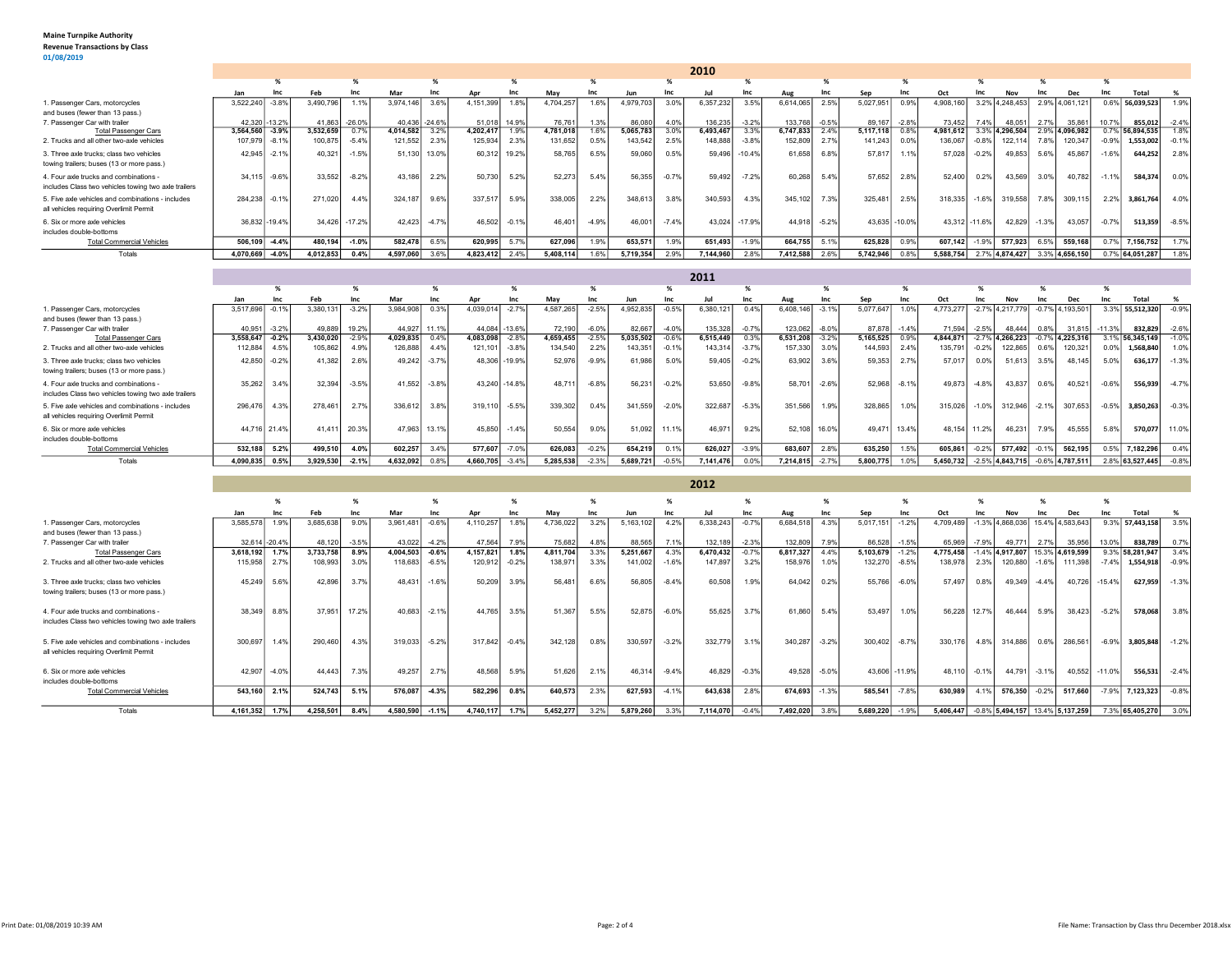## Maine Turnpike Authority Revenue Transactions by Class 01/08/2019

**COL** 

|                                                      |                 |         |               |          |               |            |              |         |           |         |                 |         | 2010      |          |           |         |               |         |           |          |                |         |                |         |                    |         |
|------------------------------------------------------|-----------------|---------|---------------|----------|---------------|------------|--------------|---------|-----------|---------|-----------------|---------|-----------|----------|-----------|---------|---------------|---------|-----------|----------|----------------|---------|----------------|---------|--------------------|---------|
|                                                      |                 |         |               |          |               |            |              |         |           |         |                 |         |           |          |           |         |               |         |           |          |                |         |                |         |                    |         |
|                                                      | Jan             | Inc     | Feb           | Inc      | Mar           | <b>Inc</b> | Apr          |         | Mav       | Inc     | Jun             | Inc     | Jul       | Inc      | Aug       | Inc     | Sep           | Inc     | Oct       | Inc      | Nov            | Inc     | Dec            | In      | Total              |         |
| 1. Passenger Cars, motorcycles                       | 3,522,240       | $-3.89$ | 3,490,796     |          | 3,974,146     |            | 4,151,399    | 1.8%    | 4,704,257 | 1.6%    | 4,979,703       | 3.0%    | 6,357,232 | 3.5%     | 6,614,065 | 2.5%    | 5,027,951     | 0.9%    | 4,908,160 | 3.2%     | 4.248.453      |         | 2.9% 4,061,121 | 0.6%    | 56,039,523         | 1.9%    |
| and buses (fewer than 13 pass.)                      |                 |         |               |          |               |            |              |         |           |         |                 |         |           |          |           |         |               |         |           |          |                |         |                |         |                    |         |
| 7. Passenger Car with trailer                        | 42.320 -13.2%   |         | 41,863 -26.0% |          | 40.436 -24.6% |            | 51,018 14.9% |         | 76.761    | 1.3%    | 86,080          | 4.0%    | 136.235   | $-3.2%$  | 133,768   | $-0.5%$ | 89.167        | $-2.8%$ | 73.452    | 7.4%     | 48.051         | 2.7%    | 35,861         | 10.7%   | 855.012            | $-2.4%$ |
| <b>Total Passenger Cars</b>                          | 3,564,560 -3.9% |         | 3,532,659     | 0.79     | 4,014,582     | 3.2%       | 4,202,417    | 1.9%    | 4,781,018 | 1.6%    | 5,065,783       | 3.0%    | 6,493,467 | 3.3%     | 6,747,833 | 2.4%    | 5,117,118     | 0.8%    | 4.981.612 |          | 3.3% 4,296,504 |         | 2.9% 4.096.982 |         | $0.7\%$ 56,894,535 | $1.8\%$ |
| 2. Trucks and all other two-axle vehicles            | 107,979 -8.1%   |         | 100,875       | $-5.4%$  | 121,552       | 2.3%       | 125,934      | 2.3%    | 131,652   | 0.5%    | 143,542         | 2.5%    | 148,888   | $-3.8%$  | 152,809   | 2.7%    | 141,243       | 0.0%    | 136.067   | $-0.8%$  | 122,114        | 7.8%    | 120,347        | $-0.9%$ | 1,553,002          | $-0.1%$ |
| 3. Three axle trucks; class two vehicles             | 42.945          | $-2.1%$ | 40.321        | $-1.5%$  | 51.130        | 13.0%      | 60,312 19.2% |         | 58,765    | 6.5%    | 59.060          | 0.5%    | 59.496    | $-10.4%$ | 61.658    | 6.8%    | 57.817        | 1.1%    | 57.028    | $-0.2%$  | 49,853         | 5.6%    | 45,867         | $-1.6%$ | 644,252            | 2.8%    |
| towing trailers; buses (13 or more pass.)            |                 |         |               |          |               |            |              |         |           |         |                 |         |           |          |           |         |               |         |           |          |                |         |                |         |                    |         |
| 4. Four axle trucks and combinations -               | 34.115          | $-9.6%$ | 33.552        | $-8.2%$  | 43,18t        | 2.2%       | 50.730       | 5.2%    | 52.273    | 5.4%    | 56,355          | $-0.7%$ | 59.492    | $-7.2%$  | 60.268    | 5.4%    | 57.652        | 2.8%    | 52.400    | 0.2%     | 43,569         | 3.0%    | 40,782         | $-1.1%$ | 584,374            | 0.0%    |
| includes Class two vehicles towing two axle trailers |                 |         |               |          |               |            |              |         |           |         |                 |         |           |          |           |         |               |         |           |          |                |         |                |         |                    |         |
| 5. Five axle vehicles and combinations - includes    | 284.238         | $-0.1%$ | 271.020       | 4.4%     | 324.187       | 9.6%       | 337.517      | 5.9%    | 338,005   | 2.2%    | 348,613         | 3.8%    | 340,593   | 4.3%     | 345.102   | 7.3%    | 325.481       | 2.5%    | 318.335   | $-1.6%$  | 319,558        | 7.8%    | 309.115        | 2.2%    | 3,861,764          | 4.0%    |
| all vehicles requiring Overlimit Permit              |                 |         |               |          |               |            |              |         |           |         |                 |         |           |          |           |         |               |         |           |          |                |         |                |         |                    |         |
| 6. Six or more axle vehicles                         | 36,832 - 19.4%  |         | 34,426        | $-17.2%$ | 42.423        | $-4.7%$    | 46,502       | $-0.1%$ | 46.40     | $-4.9%$ | $46,00^{\circ}$ | $-7.4%$ | 43.024    | $-17.9%$ | 44.918    | $-5.2%$ | 43,635 -10.0% |         | 43.312    | $-11.6%$ | 42,829         | $-1.3%$ | 43,057         | $-0.7%$ | 513,359            | $-8.5%$ |
| includes double-bottoms                              |                 |         |               |          |               |            |              |         |           |         |                 |         |           |          |           |         |               |         |           |          |                |         |                |         |                    |         |
| <b>Total Commercial Vehicles</b>                     | 506.109         | $-4.4%$ | 480,194       | $-1.0%$  | 582.47        | 6.5%       | 620,995      | 5.7%    | 627,096   |         | 653.57          | 1.9%    | 651.493   | $-1.9%$  | 664.755   | 5.1%    | 625,828       | 0.9%    | 607.142   | $-1.9%$  | 577,923        | 6.5%    | 559,168        | 0.7%    | 7,156,752          | 1.7%    |
| Totals                                               | 4,070,669       | $-4.0%$ | 4,012,853     | 0.4%     | 4,597,060     |            | 4,823,412    | 2.4%    | 5,408,114 |         | 5,719,354       | 2.9%    | 144,960   | 2.8%     | 7,412,588 | 2.6%    | 5,742,946     | 0.8%    | 5.588.754 |          | 2.7% 4,874,427 | 3.3%    | 4,656,150      |         | $0.7\%$ 64,051,287 | 1.8%    |
|                                                      |                 |         |               |          |               |            |              |         |           |         |                 |         |           |          |           |         |               |         |           |          |                |         |                |         |                    |         |

|                                                      |              |         |              |         |              |            |               |         |           |         |           |         | 2011      |         |           |         |           |         |           |         |                    |         |                    |          |                 |         |
|------------------------------------------------------|--------------|---------|--------------|---------|--------------|------------|---------------|---------|-----------|---------|-----------|---------|-----------|---------|-----------|---------|-----------|---------|-----------|---------|--------------------|---------|--------------------|----------|-----------------|---------|
|                                                      |              |         |              |         |              |            |               |         |           |         |           |         |           |         |           |         |           |         |           |         |                    |         |                    |          |                 |         |
|                                                      | Jan          | Inc     | Feb          | Inc     | Mar          | <b>Inc</b> | Apr           | Inc     | Mav       | Inc     | Jun       | Inc     | Jul       | Inc     | Aug       | In      | Sep       | Inc     | Oct       | Inc     | Nov                | Inc     | Dec                | Inc      | Total           |         |
| 1. Passenger Cars, motorcycles                       | 3,517,696    |         | 3,380,131    | $-3.2%$ | 3,984,908    | 0.3%       | 4,039,014     | $-2.7%$ | 4,587,265 | $-2.5%$ | 4,952,835 | $-0.5%$ | 6,380,121 | 0.4%    | 6,408,146 | $-3.19$ | 5,077,647 | 1.09    | 4,773,277 |         | -2.7% 4,217,77     |         | $-0.7\%$ 4,193,50  | 3.39     | 55,512,320      | $-0.9%$ |
| and buses (fewer than 13 pass.)                      |              |         |              |         |              |            |               |         |           |         |           |         |           |         |           |         |           |         |           |         |                    |         |                    |          |                 |         |
| 7. Passenger Car with trailer                        | 40.951       | $-3.2%$ | 49,889       | 19.2%   | 44,927       |            | 44,084 -13.6% |         | 72,190    | $-6.0%$ | 82,667    | $-4.0%$ | 135,328   | $-0.7%$ | 123,062   | $-8.0%$ | 87,878    | $-1.4%$ | 71,594    | $-2.5%$ | 48,444             | 0.8%    | 31,815             | $-11.3%$ | 832,829         | $-2.6%$ |
| <b>Total Passenger Cars</b>                          | 3,558,647    | $-0.2%$ | 3,430,020    | $-2.9%$ | 4,029,835    | 0.4%       | 4,083,098     | $-2.8%$ | 4,659,455 | $-2.5%$ | 5,035,502 | $-0.6%$ | 6,515,449 | 0.39    | 6,531,208 | $-3.2%$ | 5,165,525 | 0.9%    | 4.844.871 |         | $-2.7\%$ 4,266,223 | $-0.7%$ | 4,225,316          |          | 3.1% 56,345,149 | $-1.0%$ |
| 2. Trucks and all other two-axle vehicles            | 112,884      | 4.5%    | 105,862      | 4.9%    | 126,888      | 4.4%       | 121.101       | $-3.8%$ | 134,540   | 2.2%    | 143.351   | $-0.1%$ | 143,314   | $-3.7%$ | 157,330   | 3.0%    | 144,593   | 2.4%    | 135,791   | $-0.2%$ | 122,865            | 0.6%    | 120,32             | 0.09     | 1,568,840       | 1.0%    |
| 3. Three axle trucks: class two vehicles             | 42.850       | $-0.2%$ | 41.382       | 2.6%    | 49.242 -3.7% |            | 48.306 -19.9% |         | 52.976    | $-9.9%$ | 61.986    | 5.0%    | 59.405    | $-0.2%$ | 63.902    | 3.6%    | 59.353    | 2.7%    | 57.017    | 0.0%    | 51.613             | 3.5%    | 48.145             | 5.0%     | 636,177         | $-1.3%$ |
| towing trailers; buses (13 or more pass.)            |              |         |              |         |              |            |               |         |           |         |           |         |           |         |           |         |           |         |           |         |                    |         |                    |          |                 |         |
| 4. Four axle trucks and combinations -               | 35.262       | 3.4%    | 32.394       | $-3.5%$ | 41.552       | $-3.8%$    | 43.240 -14.8% |         | 48.711    | $-6.8%$ | 56.231    | $-0.2%$ | 53,650    | $-9.8%$ | 58,70     | $-2.6%$ | 52,968    | $-8.1%$ | 49.873    | $-4.8%$ | 43,83              | 0.6%    | 40,521             | $-0.6%$  | 556,939         | $-4.7%$ |
| includes Class two vehicles towing two axle trailers |              |         |              |         |              |            |               |         |           |         |           |         |           |         |           |         |           |         |           |         |                    |         |                    |          |                 |         |
| 5. Five axle vehicles and combinations - includes    | 296.47       | 4.3%    | 278,461      | 2.7%    | 336,612      | 3.8%       | 319,110       | $-5.5%$ | 339,302   | 0.4%    | 341,559   | $-2.0%$ | 322,687   | $-5.3%$ | 351,566   | 1.9%    | 328,865   | 1.0%    | 315,026   | $-1.0%$ | 312,946            | $-2.1%$ | 307,653            | $-0.59$  | 3,850,263       | $-0.3%$ |
| all vehicles requiring Overlimit Permit              |              |         |              |         |              |            |               |         |           |         |           |         |           |         |           |         |           |         |           |         |                    |         |                    |          |                 |         |
| 6. Six or more axle vehicles                         | 44.716 21.4% |         | 41.411 20.3% |         | 47.963       | 13.1%      | 45,850        | $-1.4%$ | 50.554    | 9.0%    | 51.092    | 11.1%   | 46.971    | 9.2%    | 52.108    | 16.0%   | 49,47'    | 13.4%   | 48.154    | 11.2%   | 46.23              | 7.9%    | 45,555             | 5.8%     | 570,077         | 11.0%   |
| includes double-bottoms                              |              |         |              |         |              |            |               |         |           |         |           |         |           |         |           |         |           |         |           |         |                    |         |                    |          |                 |         |
| <b>Total Commercial Vehicles</b>                     | 532,188      | 5.2%    | 499,510      | 4.0%    | 602,257      | 3.4%       | 577,607       | $-7.0%$ | 626,083   | $-0.29$ | 654.219   | 0.1%    | 626,027   | $-3.9%$ | 683,60    | 2.8%    | 635,250   | 1.5%    | 605,861   | $-0.2%$ | 577,492            | $-0.1%$ | 562,195            | 0.5%     | 7,182,296       | 0.4%    |
| Totals                                               | 4,090,835    | 0.5%    | 3,929,530    | $-2.1%$ | 4,632,092    | 0.8%       | 4,660,705     | $-3.4%$ | 5,285,538 | $-2.3%$ | 5,689,721 | $-0.5%$ | 141,476,  | 0.0%    | 7,214,815 | $-2.79$ | 5,800,775 |         | 5.450.732 |         | $-2.5\%$ 4,843,715 |         | $-0.6\%$ 4,787,511 |          | 2.8% 63,527,445 | $-0.8%$ |

|                                                                   |           |               |           |         |           |         |           |         |           |      |           |         | 2012      |         |           |         |           |               |           |         |                                    |         |                 |          |                    |         |
|-------------------------------------------------------------------|-----------|---------------|-----------|---------|-----------|---------|-----------|---------|-----------|------|-----------|---------|-----------|---------|-----------|---------|-----------|---------------|-----------|---------|------------------------------------|---------|-----------------|----------|--------------------|---------|
|                                                                   |           |               |           |         |           |         |           |         |           |      |           |         |           |         |           |         |           |               |           |         |                                    |         |                 |          |                    |         |
|                                                                   | Jan       | Inc           | Feb       | Inc     | Mar       | Inc     | Apr       | Inc     | May       | Inc  | Jun       | Inc     |           | Inc     | Aug       | Inc     | Sep       | Inc           | Oct       |         | Nov                                |         |                 | Inc      | Total              |         |
| 1. Passenger Cars, motorcycles<br>and buses (fewer than 13 pass.) | 3,585,57  | 1.9%          | 3,685,638 | 9.0%    | 3,961,481 | $-0.6%$ | 4,110,257 | 1.8%    | 4,736,022 | 3.2% | 5,163,102 | 4.2%    | 6,338,243 | $-0.7%$ | 6,684,51  | 4.3%    | 5,017,15  | $-1.29$       | 4,709,489 |         | -1.3% 4,868,036                    |         | 15.4% 4,583,643 |          | $9.3\%$ 57,443,158 | 3.5%    |
| 7. Passenger Car with trailer                                     |           | 32,614 -20.4% | 48.120    | $-3.5%$ | 43,022    | $-4.2%$ | 47,564    | 7.9%    | 75,682    | 4.8% | 88,565    | 7.1%    | 132,189   | $-2.3%$ | 132,809   | 7.9%    | 86,528    | $-1.5%$       | 65.969    | $-7.9%$ | 49,771                             | 2.7%    | 35,956          | 13.0%    | 838,789            | 0.7%    |
| <b>Total Passenger Cars</b>                                       | 3,618,192 | 1.7%          | 3,733,758 | 8.9%    | 4,004,503 | $-0.6%$ | 4,157,821 | 1.8%    | 4,811,704 | 3.3% | 5,251,667 | 4.3%    | 6,470,432 | $-0.7%$ | 6,817,327 | 4.4%    | 5,103,679 | $-1.2%$       | 4,775,458 |         | $-1.4\%$ 4,917,807                 |         | 15.3% 4,619,599 |          | 9.3% 58,281,947    | 3.4%    |
| 2. Trucks and all other two-axle vehicles                         | 115,95    | 2.7%          | 108,993   | 3.0%    | 118,683   | $-6.5%$ | 120,912   | $-0.2%$ | 138,971   | 3.3% | 141.002   | $-1.6%$ | 147,897   | 3.2%    | 158,97    | 1.0%    | 132,270   | $-8.5%$       | 138,978   | 2.3%    | 120,880                            | $-1.6%$ | 111,398         | $-7.4%$  | 1,554,918          | $-0.9%$ |
|                                                                   |           |               |           |         |           |         |           |         |           |      |           |         |           |         |           |         |           |               |           |         |                                    |         |                 |          |                    |         |
| 3. Three axle trucks: class two vehicles                          | 45.24     | 5.6%          | 42.896    | 3.7%    | 48.431    | $-1.6%$ | 50.209    | 3.9%    | 56,481    | 6.6% | 56,805    | $-8.4%$ | 60,508    | 1.9%    | 64.04     | 0.2%    | 55.766    | $-6.0%$       | 57.497    | 0.8%    | 49,349                             | $-4.4%$ | 40,726          | $-15.4%$ | 627,959            | $-1.3%$ |
| towing trailers; buses (13 or more pass.)                         |           |               |           |         |           |         |           |         |           |      |           |         |           |         |           |         |           |               |           |         |                                    |         |                 |          |                    |         |
|                                                                   |           |               |           |         |           |         |           |         |           |      |           |         |           |         |           |         |           |               |           |         |                                    |         |                 |          |                    |         |
| 4. Four axle trucks and combinations -                            | 38,349    | 8.8%          | 37.951    | 17.2%   | 40,683    | $-2.1%$ | 44.765    | 3.5%    | 51.367    | 5.5% | 52.875    | $-6.0%$ | 55,625    | 3.7%    | 61,860    | 5.4%    | 53,497    | 1.0%          | 56.228    | 12.7%   | 46,444                             | 5.9%    | 38,423          | $-5.2%$  | 578,068            | 3.8%    |
| includes Class two vehicles towing two axle trailers              |           |               |           |         |           |         |           |         |           |      |           |         |           |         |           |         |           |               |           |         |                                    |         |                 |          |                    |         |
|                                                                   |           |               |           |         |           |         |           |         |           |      |           |         |           |         |           |         |           |               |           |         |                                    |         |                 |          |                    |         |
| 5. Five axle vehicles and combinations - includes                 | 300,69    | 1.4%          | 290,460   | 4.3%    | 319,033   | $-5.2%$ | 317.842   | $-0.4%$ | 342,128   | 0.8% | 330,597   | $-3.2%$ | 332,779   | 3.1%    | 340,28    | $-3.2%$ | 300,402   | $-8.7%$       | 330,176   | 4.8%    | 314,886                            | 0.6%    | 286,561         | $-6.9%$  | 3,805,848          | $-1.2%$ |
| all vehicles requiring Overlimit Permit                           |           |               |           |         |           |         |           |         |           |      |           |         |           |         |           |         |           |               |           |         |                                    |         |                 |          |                    |         |
| 6. Six or more axle vehicles                                      | 42,90     | $-4.0%$       | 44.443    | 7.3%    | 49,257    | 2.7%    | 48.568    | 5.9%    | 51,626    | 2.1% | 46.314    | $-9.4%$ | 46,829    | $-0.3%$ | 49,528    | $-5.0%$ |           | 43,606 -11.9% | 48,110    | $-0.1%$ | 44,791                             | $-3.1%$ | 40,552          | $-11.0%$ | 556,531            | $-2.4%$ |
| includes double-bottoms                                           |           |               |           |         |           |         |           |         |           |      |           |         |           |         |           |         |           |               |           |         |                                    |         |                 |          |                    |         |
| <b>Total Commercial Vehicles</b>                                  | 543,160   | 2.1%          | 524,743   | 5.1%    | 576,087   | $-4.3%$ | 582,296   | 0.8%    | 640,573   | 2.3% | 627.593   | $-4.1%$ | 643,638   | 2.8%    | 674.693   | $-1.3%$ | 585,541   | $-7.8%$       | 630,989   | 4.1%    | 576,350                            | $-0.2%$ | 517,660         | $-7.9%$  | 7,123,323          | $-0.8%$ |
|                                                                   |           |               |           |         |           |         |           |         |           |      |           |         |           |         |           |         |           |               |           |         |                                    |         |                 |          |                    |         |
| Totals                                                            | 4,161,352 | 1.7%          | 4,258,501 | 8.4%    | 4,580,590 | $-1.1%$ | 4,740,117 | 1.7%    | 5,452,277 | 3.2% | 5,879,260 | 3.3%    | 7,114,070 | $-0.4%$ | 7,492,020 | 3.8%    | 5,689,220 | $-1.9%$       | 5,406,447 |         | $-0.8\%$ 5,494,157 13.4% 5,137,259 |         |                 |          | 7.3% 65,405,270    | 3.0%    |
|                                                                   |           |               |           |         |           |         |           |         |           |      |           |         |           |         |           |         |           |               |           |         |                                    |         |                 |          |                    |         |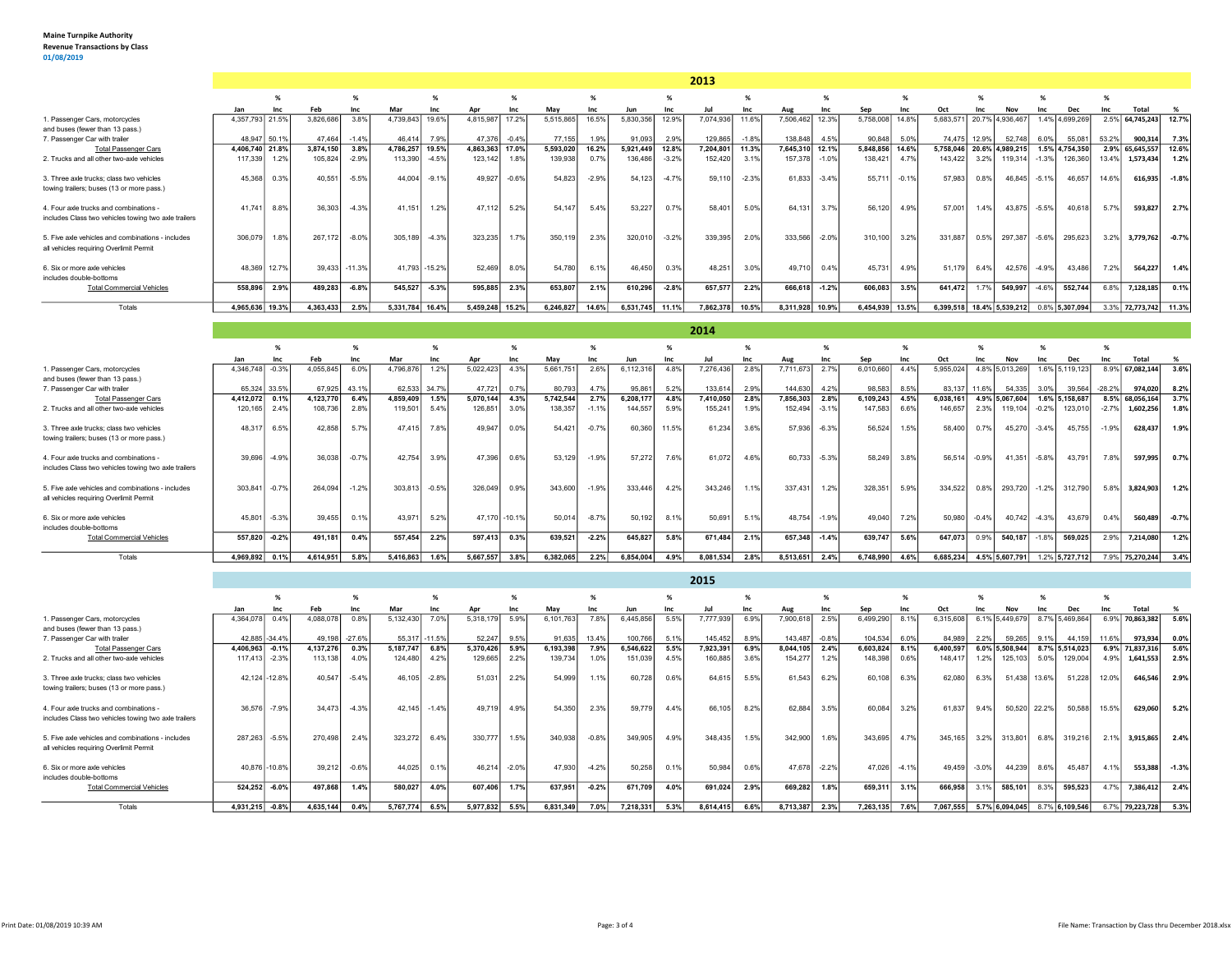|                                                      |                 |              |           |          |           |               |           |         |           |         |           |         | 2013      |         |           |         |           |         |              |      |                 |         |                   |       |            |         |
|------------------------------------------------------|-----------------|--------------|-----------|----------|-----------|---------------|-----------|---------|-----------|---------|-----------|---------|-----------|---------|-----------|---------|-----------|---------|--------------|------|-----------------|---------|-------------------|-------|------------|---------|
|                                                      |                 |              |           |          |           |               |           |         |           |         |           |         |           |         |           |         |           |         |              |      |                 |         |                   |       |            |         |
|                                                      | Jan             | Inc          | Feb       | Inc      | Mar       | Inc           | Apr       | In      | Mav       | Inc     | Jun       | Inc     | Ju        | Inc     | Aug       | Inc     | Sep       | Inc     | Oct          | Inc  | Nov             | Inc     | Dec               | Inc   | Total      |         |
| 1. Passenger Cars, motorcycles                       | 4,357,793 21.5% |              | 3,826,686 | 3.89     | 4,739,843 | 19.6%         | 4,815,987 | 17.2%   | 5,515,865 |         | 5,830,356 | 12.9%   | 7,074,936 | 11.6%   | 7,506,462 | 12.3%   | 5,758,008 | 14.8%   | 5,683,571    |      | 20.7% 4,936,467 |         | 1.4% 4,699,269    | 2.5%  | 64,745,243 | 12.7%   |
| and buses (fewer than 13 pass.)                      |                 |              |           |          |           |               |           |         |           |         |           |         |           |         |           |         |           |         |              |      |                 |         |                   |       |            |         |
| 7. Passenger Car with trailer                        |                 | 48,947 50.1% | 47.464    | $-1.4%$  | 46.414    | 7.9%          | 47,376    | $-0.4%$ | 77,155    | 1.9%    | 91,093    | 2.9%    | 129,865   | $-1.8%$ | 138,848   | 4.5%    | 90,848    | 5.0%    | 74,475 12.9% |      | 52,748          | 6.0%    | 55,081            | 53.2% | 900,314    | 7.3%    |
| <b>Total Passenger Cars</b>                          | 4,406,740 21.8% |              | 3,874,150 | 3.8%     | 4,786,257 | 19.5%         | 4,863,363 | 17.0%   | 5,593,020 | 16.2%   | 5,921,449 | 12.8%   | 7,204,801 | 11.3%   | 7,645,310 | 12.1%   | 5,848,856 | 14.6%   | 5,758,046    |      | 20.6% 4,989,215 |         | 1.5% 4,754,350    | 2.9%  | 65,645,557 | 12.6%   |
| 2. Trucks and all other two-axle vehicles            | 117,339         | 1.2%         | 105,824   | $-2.9%$  | 113,390   | $-4.5%$       | 123,142   | 1.8%    | 139,938   | 0.7%    | 136,486   | $-3.2%$ | 152,420   | 3.1%    | 157,378   | $-1.0%$ | 138,421   | 4.7%    | 143,422      | 3.2% | 119,314         | $-1.3%$ | 126,360           | 13.4% | 1,573,434  | 1.2%    |
|                                                      |                 |              |           |          |           |               |           |         |           |         |           |         |           |         |           |         |           |         |              |      |                 |         |                   |       |            |         |
| 3. Three axle trucks; class two vehicles             | 45,368          | 0.3%         | 40.551    | $-5.5%$  | 44.004    | $-9.1%$       | 49.927    | $-0.6%$ | 54.823    | $-2.9%$ | 54.123    | $-4.7%$ | 59.110    | $-2.3%$ | 61.833    | $-3.4%$ | 55.711    | $-0.1%$ | 57,983       | 0.8% | 46.845          | $-5.1%$ | 46,657            | 14.6% | 616,935    | $-1.8%$ |
| towing trailers; buses (13 or more pass.)            |                 |              |           |          |           |               |           |         |           |         |           |         |           |         |           |         |           |         |              |      |                 |         |                   |       |            |         |
|                                                      |                 |              |           |          |           |               |           |         |           |         |           |         |           |         |           |         |           |         |              |      |                 |         |                   |       |            |         |
| 4. Four axle trucks and combinations -               | 41.741          | 8.8%         | 36.303    | $-4.3%$  | 41.151    | 1.2%          | 47.11:    | 5.2%    | 54.147    | 5.4%    | 53.227    | 0.7%    | 58,401    | 5.0%    | 64.131    | 3.7%    | 56.120    | 4.9%    | 57.001       | 1.4% | 43,875          | $-5.5%$ | 40.618            | 5.7%  | 593,827    | 2.7%    |
| includes Class two vehicles towing two axle trailers |                 |              |           |          |           |               |           |         |           |         |           |         |           |         |           |         |           |         |              |      |                 |         |                   |       |            |         |
| 5. Five axle vehicles and combinations - includes    | 306,079         | 1.8%         | 267,172   | $-8.0%$  | 305,189   | $-4.3%$       | 323,235   | 1.7%    | 350,119   | 2.3%    | 320,010   | $-3.2%$ | 339,395   | 2.0%    | 333,566   | $-2.0%$ | 310,100   | 3.2%    | 331,887      | 0.5% | 297,387         | $-5.6%$ | 295,623           | 3.2%  | 3,779,762  | $-0.7%$ |
| all vehicles requiring Overlimit Permit              |                 |              |           |          |           |               |           |         |           |         |           |         |           |         |           |         |           |         |              |      |                 |         |                   |       |            |         |
|                                                      |                 |              |           |          |           |               |           |         |           |         |           |         |           |         |           |         |           |         |              |      |                 |         |                   |       |            |         |
| 6. Six or more axle vehicles                         | 48,369          | 12.7%        | 39,433    | $-11.3%$ |           | 41,793 -15.2% | 52,469    | 8.0%    | 54.780    | 6.1%    | 46.450    | 0.3%    | 48,251    | 3.0%    | 49.710    | 0.4%    | 45,731    | 4.9%    | 51,179       | 6.4% | 42,576          | $-4.9%$ | 43,486            | 7.2%  | 564,227    | 1.4%    |
| includes double-bottoms                              |                 |              |           |          |           |               |           |         |           |         |           |         |           |         |           |         |           |         |              |      |                 |         |                   |       |            |         |
| <b>Total Commercial Vehicles</b>                     | 558,896         | 2.9%         | 489,283   | $-6.8%$  | 545,527   | $-5.3%$       | 595,885   | 2.3%    | 653,807   | 2.1%    | 610,296   | $-2.8%$ | 657,577   | 2.2%    | 666,618   | $-1.2%$ | 606,083   | 3.5%    | 641,472      | 1.7% | 549,997         | $-4.6%$ | 552,744           | 6.8%  | 7,128,185  | 0.1%    |
|                                                      |                 |              |           |          |           |               |           |         |           |         |           |         |           |         |           |         |           |         |              |      |                 |         |                   |       |            |         |
| Totals                                               | 4,965,636 19.3% |              | 4,363,433 | 2.5%     | 5,331,784 | 16.4%         | 5,459,248 | 15.2%   | 6,246,827 | 14.6%   | 6,531,745 | 11.1%   | 7,862,378 | 10.5%   | 8,311,928 | 10.9%   | 6,454,939 | 13.5%   | 6,399,518    |      | 18.4% 5,539,212 |         | $0.8\%$ 5,307,094 | 3.3%  | 72,773,742 | 11.3%   |
|                                                      |                 |              |           |          |           |               |           |         |           |         |           |         |           |         |           |         |           |         |              |      |                 |         |                   |       |            |         |

|                                                      |              |         |           |         |           |         |               |      |           |         |           |       | 2014      |      |           |            |           |      |           |         |                |         |                |          |                 |         |
|------------------------------------------------------|--------------|---------|-----------|---------|-----------|---------|---------------|------|-----------|---------|-----------|-------|-----------|------|-----------|------------|-----------|------|-----------|---------|----------------|---------|----------------|----------|-----------------|---------|
|                                                      |              |         |           | %       |           |         |               |      |           |         |           |       |           |      |           |            |           |      |           |         |                |         |                |          |                 |         |
|                                                      | Jan          | Inc     |           | Inc     | Mar       | Inc     | Apr           | Inc  | Mav       | Inc     | Jun       | Inc   | Jul       | Inc  | Aug       | <b>Inc</b> | Sep       | Inc  | Oct       | Inc     | N٥             | Inc     | <b>Dec</b>     | Inc      | Total           |         |
| I. Passenger Cars, motorcycles                       | 4,346,748    | $-0.3%$ | 4,055,845 | 6.0%    | 4,796,876 | 1.29    | 5,022,423     | 4.3% | 5,661,751 | 2.6%    | 6,112,316 | 4.8%  | 7,276,436 | 2.8% | 7,711,673 | 2.7%       | 6,010,660 | 4.4% | 5,955,024 |         | 4.8% 5,013,269 |         | 1.6% 5,119,123 | 8.9%     | 67,082,144      | 3.6%    |
| and buses (fewer than 13 pass.)                      |              |         |           |         |           |         |               |      |           |         |           |       |           |      |           |            |           |      |           |         |                |         |                |          |                 |         |
| 7. Passenger Car with trailer                        | 65,324 33.5% |         | 67,925    | 43.1%   | 62.533    | 34.7%   | 47,721        | 0.7% | 80,793    | 4.7%    | 95.861    | 5.2%  | 133,614   | 2.9% | 144,630   | 4.2%       | 98,583    | 8.5% | 83.137    | 11.6%   | 54,335         | 3.0%    | 39,564         | $-28.2%$ | 974,020         | 8.2%    |
| <b>Total Passenger Cars</b>                          | 4,412,072    | 0.1%    | 4,123,770 | 6.4%    | 4,859,409 | 1.5%    | 5,070,144     | 4.3% | 5,742,544 | 2.7%    | 6,208,177 | 4.8%  | 7,410,050 | 2.8% | 7,856,303 | 2.8%       | 6,109,243 | 4.5% | 6,038,161 |         | 4.9% 5,067,604 |         | 1.6% 5,158,687 |          | 8.5% 68,056,164 | 3.7%    |
| 2. Trucks and all other two-axle vehicles            | 120,165      | 2.4%    | 108,736   | 2.8%    | 119,50    | 5.4%    | 126,851       | 3.0% | 138,357   | $-1.1%$ | 144,557   | 5.9%  | 155,241   | 1.9% | 152,494   | $-3.1%$    | 147,583   | 6.6% | 146,657   | 2.3%    | 119,104        | $-0.2%$ | 123,010        | $-2.7%$  | 1,602,256       | 1.8%    |
|                                                      |              |         |           |         |           |         |               |      |           |         |           |       |           |      |           |            |           |      |           |         |                |         |                |          |                 |         |
| 3. Three axle trucks: class two vehicles             | 48,317       | 6.5%    | 42.85     | 5.7%    | 47.415    | 7.8%    | 49.947        | 0.0% | 54.421    | $-0.7%$ | 60,360    | 11.5% | 61.234    | 3.6% | 57,936    | $-6.3%$    | 56.524    | 1.5% | 58,400    | 0.7%    | 45,270         | $-3.4%$ | 45,755         | $-1.9%$  | 628,437         | 1.9%    |
| towing trailers; buses (13 or more pass.)            |              |         |           |         |           |         |               |      |           |         |           |       |           |      |           |            |           |      |           |         |                |         |                |          |                 |         |
|                                                      |              |         |           |         |           |         |               |      |           |         |           |       |           |      |           |            |           |      |           |         |                |         |                |          |                 |         |
| 4. Four axle trucks and combinations -               | 39.696       | $-4.9%$ | 36,038    | $-0.7%$ | 42.754    | 3.9%    | 47.396        | 0.6% | 53,129    | $-1.9%$ | 57.272    | 7.6%  | 61.072    | 4.6% | 60,733    | $-5.3%$    | 58,249    | 3.8% | 56,514    | $-0.9%$ | 41,351         | $-5.8%$ | 43,791         | 7.8%     | 597,995         | 0.7%    |
| includes Class two vehicles towing two axle trailers |              |         |           |         |           |         |               |      |           |         |           |       |           |      |           |            |           |      |           |         |                |         |                |          |                 |         |
|                                                      |              |         |           |         |           |         |               |      |           |         |           |       |           |      |           |            |           |      |           |         |                |         |                |          |                 |         |
| 5. Five axle vehicles and combinations - includes    | 303.841      | $-0.7%$ | 264.09    | $-1.2%$ | 303.813   | $-0.5%$ | 326,049       | 0.9% | 343,600   | $-1.9%$ | 333.446   | 4.2%  | 343.246   | 1.1% | 337.431   | 1.2%       | 328,351   | 5.9% | 334,522   | 0.8%    | 293,720        | $-1.2%$ | 312,790        | 5.8%     | 3,824,903       | 1.2%    |
| all vehicles requiring Overlimit Permit              |              |         |           |         |           |         |               |      |           |         |           |       |           |      |           |            |           |      |           |         |                |         |                |          |                 |         |
|                                                      |              |         |           |         |           |         |               |      |           |         |           |       |           |      |           |            |           |      |           |         |                |         |                |          |                 |         |
| 6. Six or more axle vehicles                         | 45,80        | $-5.3%$ | 39.455    | 0.1%    | 43.97     | 5.2%    | 47,170 -10.1% |      | 50,014    | $-8.7%$ | 50,192    | 8.1%  | 50,691    | 5.1% | 48,754    | $-1.9%$    | 49,040    | 7.2% | 50,980    | $-0.4%$ | 40,742         | $-4.3%$ | 43,679         | 0.4%     | 560,489         | $-0.7%$ |
| includes double-bottoms                              |              |         |           |         |           |         |               |      |           |         |           |       |           |      |           |            |           |      |           |         |                |         |                |          |                 |         |
| <b>Total Commercial Vehicles</b>                     | 557,820      | $-0.2%$ | 491,181   | 0.4%    | 557,454   | 2.2%    | 597,413       | 0.3% | 639,521   | $-2.2%$ | 645,827   | 5.8%  | 671,484   | 2.1% | 657,348   | $-1.4%$    | 639,747   | 5.6% | 647,073   | 0.9%    | 540,187        | $-1.8%$ | 569,025        | 2.9%     | 7,214,080       | 1.2%    |
|                                                      |              | 0.1%    |           |         |           | 1.6%    |               |      |           |         |           |       |           |      |           |            |           |      |           |         |                |         |                |          |                 |         |
| Totals                                               | 4,969,892    |         | 4,614,951 | 5.8%    | 5,416,863 |         | 5,667,557     | 3.8% | 6,382,065 | 2.2%    | 6,854,004 | 4.9%  | 8,081,534 | 2.8% | 8,513,651 | 2.4%       | 6,748,990 | 4.6% | 6,685,234 |         | 4.5% 5,607,791 |         | 1.2% 5,727,712 |          | 7.9% 75,270,244 | 3.4%    |

|                                                                                                |                |          |           |          |               |         |           |         |           |         |           |      | 2015      |      |           |         |           |         |           |         |                               |      |                |       |                 |         |
|------------------------------------------------------------------------------------------------|----------------|----------|-----------|----------|---------------|---------|-----------|---------|-----------|---------|-----------|------|-----------|------|-----------|---------|-----------|---------|-----------|---------|-------------------------------|------|----------------|-------|-----------------|---------|
|                                                                                                |                | %        |           | %        |               |         |           | %       |           |         |           |      |           | %    |           |         |           |         |           |         |                               |      |                |       |                 |         |
|                                                                                                | Jan            | Inc      | Feb       | Inc      | Mar           | Inc     |           | Inc     | Mav       | Inc     |           | Inc  | Ju        | Inc  | Aug       |         | Sep       |         | Oct       | Inc     |                               |      |                |       | Total           |         |
| 1. Passenger Cars, motorcycles                                                                 | 4,364,078      | 0.4%     | 4,088,078 | 0.8%     | 5,132,430     | 7.0%    | 5,318,179 | 5.9%    | 6,101,763 | 7.8%    | 6,445,856 | 5.5% | 7,777,939 | 6.9% | 7,900,618 | 2.5%    | 6,499,290 | 8.1%    | 6,315,608 |         | 6.1% 5,449,679                |      | 8.7% 5,469,864 | 6.9%  | 70,863,382      | 5.6%    |
| and buses (fewer than 13 pass.)                                                                |                |          |           |          |               |         |           |         |           |         |           |      |           |      |           |         |           |         |           |         |                               |      |                |       |                 |         |
| 7. Passenger Car with trailer                                                                  | 42,885 - 34.4% |          | 49,198    | $-27.6%$ | 55,317 -11.5% |         | 52,24     | 9.5%    | 91,635    | 13.4%   | 100,766   | 5.1% | 145,452   | 8.9% | 143,487   | $-0.8%$ | 104,534   | 6.0%    | 84,989    | 2.2%    | 59,265                        | 9.1% | 44,159         | 11.6% | 973,934         | $0.0\%$ |
| <b>Total Passenger Cars</b>                                                                    | 4,406,963      | $-0.1%$  | 4,137,276 | 0.3%     | 5, 187, 747   | 6.8%    | 5,370,426 | 5.9%    | 6,193,398 | 7.9%    | 6,546,622 | 5.5% | 7,923,391 | 6.9% | 8,044,105 | 2.4%    | 6,603,824 | 8.1%    | 6,400,597 |         | 6.0% 5,508,944                |      | 8.7% 5,514,023 |       | 6.9% 71,837,316 | 5.6%    |
| 2. Trucks and all other two-axle vehicles                                                      | 117,413        | $-2.3%$  | 113,138   | 4.0%     | 124,480       | 4.2%    | 129,665   | 2.2%    | 139,734   | 1.0%    | 151,039   | 4.5% | 160,885   | 3.6% | 154,277   | 1.2%    | 148,398   | 0.6%    | 148.417   | 1.2%    | 125,103                       | 5.0% | 129,004        | 4.9%  | 1,641,553       | 2.5%    |
| 3. Three axle trucks; class two vehicles<br>towing trailers; buses (13 or more pass.)          | 42.124         | $-12.8%$ | 40.547    | $-5.4%$  | 46.105        | $-2.8%$ | 51.03     | 2.2%    | 54.999    | 1.1%    | 60.728    | 0.6% | 64.615    | 5.5% | 61.543    | 6.2%    | 60,108    | 6.3%    | 62.080    | 6.3%    | 51,438 13.6%                  |      | 51.228         | 12.0% | 646,546         | 2.9%    |
|                                                                                                |                |          |           |          |               |         |           |         |           |         |           |      |           |      |           |         |           |         |           |         |                               |      |                |       |                 |         |
| 4. Four axle trucks and combinations -<br>includes Class two vehicles towing two axle trailers | 36,576         | $-7.9%$  | 34.473    | $-4.3%$  | 42.145        | $-1.4%$ | 49.719    | 4.9%    | 54.350    | 2.3%    | 59.779    | 4 4% | 66,105    | 8.2% | 62,884    | 3.5%    | 60,084    | 3.2%    | 61.837    | 9.4%    | 50,520 22.2%                  |      | 50,588         | 15.5% | 629,060         | 5.2%    |
| 5. Five axle vehicles and combinations - includes<br>all vehicles requiring Overlimit Permit   | 287,263        | $-5.5%$  | 270,498   | 2.4%     | 323,272       | 6.4%    | 330,777   | 1.5%    | 340,938   | $-0.8%$ | 349,905   | 4.9% | 348,435   | 1.5% | 342,900   | 1.6%    | 343,695   | 4.7%    | 345,165   | 3.2%    | 313,801                       | 6.8% | 319,216        | 2.1%  | 3,915,865       | 2.4%    |
| 6. Six or more axle vehicles<br>includes double-bottoms                                        | 40,876 -10.8%  |          | 39,212    | $-0.6%$  | 44.025        | 0.1%    | 46.214    | $-2.0%$ | 47.930    | $-4.2%$ | 50,258    | 0.1% | 50,984    | 0.6% | 47.678    | $-2.2%$ | 47.026    | $-4.1%$ | 49.459    | $-3.0%$ | 44,239                        | 8.6% | 45.487         | 4.1%  | 553,388         | $-1.3%$ |
| <b>Total Commercial Vehicles</b>                                                               | 524,252        | $-6.0%$  | 497,868   | 1.4%     | 580,027       | 4.0%    | 607.406   | 1.7%    | 637,951   | $-0.2%$ | 671.709   | 4.0% | 691,024   | 2.9% | 669,282   | 1.8%    | 659,311   | 3.1%    | 666,958   | 3.1%    | 585,101                       | 8.3% | 595,523        | 4.7%  | 7,386,412       | 2.4%    |
| Totals                                                                                         | 4,931,215      | $-0.8%$  | 4,635,144 | 0.4%     | 5,767,774     | 6.5%    | 5,977,832 | 5.5%    | 6,831,349 | 7.0%    | 7,218,331 | 5.3% | 8,614,415 | 6.6% | 8,713,387 | 2.3%    | 7,263,135 | 7.6%    | 7,067,555 |         | 5.7% 6.094.045 8.7% 6.109.546 |      |                |       | 6.7% 79,223,728 | 5.3%    |